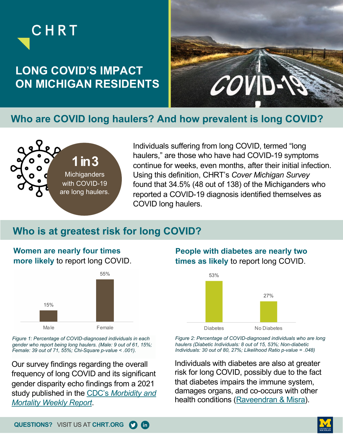



### **Who are COVID long haulers? And how prevalent is long COVID?**



CHRT

Individuals suffering from long COVID, termed "long haulers," are those who have had COVID-19 symptoms continue for weeks, even months, after their initial infection. Using this definition, CHRT's *Cover Michigan Survey* found that 34.5% (48 out of 138) of the Michiganders who reported a COVID-19 diagnosis identified themselves as COVID long haulers.

### **Who is at greatest risk for long COVID?**

### **Women are nearly four times more likely** to report long COVID.



*Figure 1: Percentage of COVID-diagnosed individuals in each gender who report being long haulers. (Male: 9 out of 61, 15%; Female: 39 out of 71, 55%; Chi-Square p-value < .001).* 

Our survey findings regarding the overall frequency of long COVID and its significant gender disparity echo findings from a 2021 [study published in the CDC's](https://www.cdc.gov/mmwr/volumes/70/wr/mm7037a2.htm) *Morbidity and Mortality Weekly Report*.

### **People with diabetes are nearly two times as likely** to report long COVID.



*Figure 2: Percentage of COVID-diagnosed individuals who are long haulers (Diabetic Individuals: 8 out of 15, 53%; Non-diabetic Individuals: 30 out of 80, 27%; Likelihood Ratio p-value = .048)*

Individuals with diabetes are also at greater risk for long COVID, possibly due to the fact that diabetes impairs the immune system, damages organs, and co-occurs with other health conditions ([Raveendran & Misra\)](https://www.ncbi.nlm.nih.gov/pmc/articles/PMC8317446/).

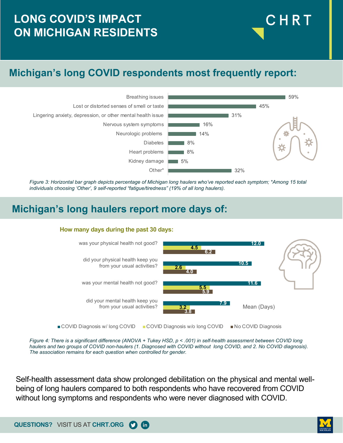## **LONG COVID'S IMPACT ON MICHIGAN RESIDENTS**

## **Michigan's long COVID respondents most frequently report:**



*Figure 3: Horizontal bar graph depicts percentage of Michigan long haulers who've reported each symptom; \*Among 15 total individuals choosing 'Other', 9 self-reported "fatigue/tiredness" (19% of all long haulers).*

### **Michigan's long haulers report more days of:**

#### **How many days during the past 30 days:**





Self-health assessment data show prolonged debilitation on the physical and mental wellbeing of long haulers compared to both respondents who have recovered from COVID without long symptoms and respondents who were never diagnosed with COVID.

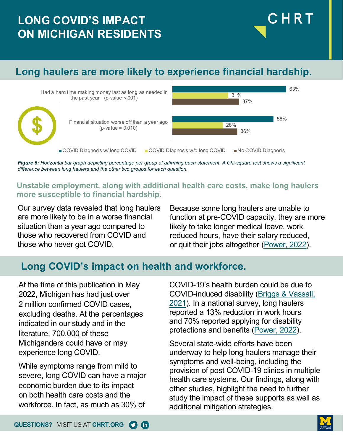# **LONG COVID'S IMPACT ON MICHIGAN RESIDENTS**

## **Long haulers are more likely to experience financial hardship**.



*Figure 5: Horizontal bar graph depicting percentage per group of affirming each statement. A Chi-square test shows a significant difference between long haulers and the other two groups for each question.*

#### **Unstable employment, along with additional health care costs, make long haulers more susceptible to financial hardship.**

Our survey data revealed that long haulers are more likely to be in a worse financial situation than a year ago compared to those who recovered from COVID and those who never got COVID.

Because some long haulers are unable to function at pre-COVID capacity, they are more likely to take longer medical leave, work reduced hours, have their salary reduced, or quit their jobs altogether [\(Power, 2022](https://www.withpower.com/long-covids-impact-on-the-workforce)).

CHRT

## **Long COVID's impact on health and workforce.**

At the time of this publication in May 2022, Michigan has had just over 2 million confirmed COVID cases, excluding deaths. At the percentages indicated in our study and in the literature, 700,000 of these Michiganders could have or may experience long COVID.

While symptoms range from mild to severe, long COVID can have a major economic burden due to its impact on both health care costs and the workforce. In fact, as much as 30% of

COVID-19's health burden could be due to COVID-induced disability (Briggs & Vassall, [2021\). In a national survey, long haulers](https://www.nature.com/articles/d41586-021-01392-2)  reported a 13% reduction in work hours and 70% reported applying for disability protections and benefits [\(Power, 2022](https://www.withpower.com/long-covids-impact-on-the-workforce)).

Several state-wide efforts have been underway to help long haulers manage their symptoms and well-being, including the provision of post COVID-19 clinics in multiple health care systems. Our findings, along with other studies, highlight the need to further study the impact of these supports as well as additional mitigation strategies.